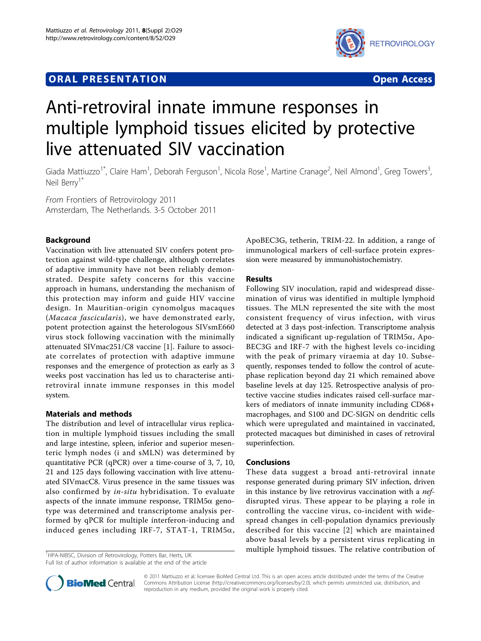# **ORAL PRESENTATION CONSUMING A RESENTATION**



# Anti-retroviral innate immune responses in multiple lymphoid tissues elicited by protective live attenuated SIV vaccination

Giada Mattiuzzo<sup>1\*</sup>, Claire Ham<sup>1</sup>, Deborah Ferguson<sup>1</sup>, Nicola Rose<sup>1</sup>, Martine Cranage<sup>2</sup>, Neil Almond<sup>1</sup>, Greg Towers<sup>3</sup> , Neil Berry<sup>1\*</sup>

From Frontiers of Retrovirology 2011 Amsterdam, The Netherlands. 3-5 October 2011

# Background

Vaccination with live attenuated SIV confers potent protection against wild-type challenge, although correlates of adaptive immunity have not been reliably demonstrated. Despite safety concerns for this vaccine approach in humans, understanding the mechanism of this protection may inform and guide HIV vaccine design. In Mauritian-origin cynomolgus macaques (Macaca fascicularis), we have demonstrated early, potent protection against the heterologous SIVsmE660 virus stock following vaccination with the minimally attenuated SIVmac251/C8 vaccine [[1\]](#page-1-0). Failure to associate correlates of protection with adaptive immune responses and the emergence of protection as early as 3 weeks post vaccination has led us to characterise antiretroviral innate immune responses in this model system.

# Materials and methods

The distribution and level of intracellular virus replication in multiple lymphoid tissues including the small and large intestine, spleen, inferior and superior mesenteric lymph nodes (i and sMLN) was determined by quantitative PCR (qPCR) over a time-course of 3, 7, 10, 21 and 125 days following vaccination with live attenuated SIVmacC8. Virus presence in the same tissues was also confirmed by in-situ hybridisation. To evaluate aspects of the innate immune response,  $TRIM5\alpha$  genotype was determined and transcriptome analysis performed by qPCR for multiple ínterferon-inducing and induced genes including IRF-7, STAT-1, TRIM5 $\alpha$ ,

<sup>1</sup>HPA-NIBSC, Division of Retrovirology, Potters Bar, Herts, UK

Full list of author information is available at the end of the article

ApoBEC3G, tetherin, TRIM-22. In addition, a range of immunological markers of cell-surface protein expression were measured by immunohistochemistry.

#### Results

Following SIV inoculation, rapid and widespread dissemination of virus was identified in multiple lymphoid tissues. The MLN represented the site with the most consistent frequency of virus infection, with virus detected at 3 days post-infection. Transcriptome analysis indicated a significant up-regulation of TRIM5 $\alpha$ , Apo-BEC3G and IRF-7 with the highest levels co-inciding with the peak of primary viraemia at day 10. Subsequently, responses tended to follow the control of acutephase replication beyond day 21 which remained above baseline levels at day 125. Retrospective analysis of protective vaccine studies indicates raised cell-surface markers of mediators of innate immunity including CD68+ macrophages, and S100 and DC-SIGN on dendritic cells which were upregulated and maintained in vaccinated, protected macaques but diminished in cases of retroviral superinfection.

### Conclusions

These data suggest a broad anti-retroviral innate response generated during primary SIV infection, driven in this instance by live retrovirus vaccination with a nefdisrupted virus. These appear to be playing a role in controlling the vaccine virus, co-incident with widespread changes in cell-population dynamics previously described for this vaccine [[2\]](#page-1-0) which are maintained above basal levels by a persistent virus replicating in multiple lymphoid tissues. The relative contribution of <sup>1</sup>



© 2011 Mattiuzzo et al; licensee BioMed Central Ltd. This is an open access article distributed under the terms of the Creative Commons Attribution License [\(http://creativecommons.org/licenses/by/2.0](http://creativecommons.org/licenses/by/2.0)), which permits unrestricted use, distribution, and reproduction in any medium, provided the original work is properly cited.